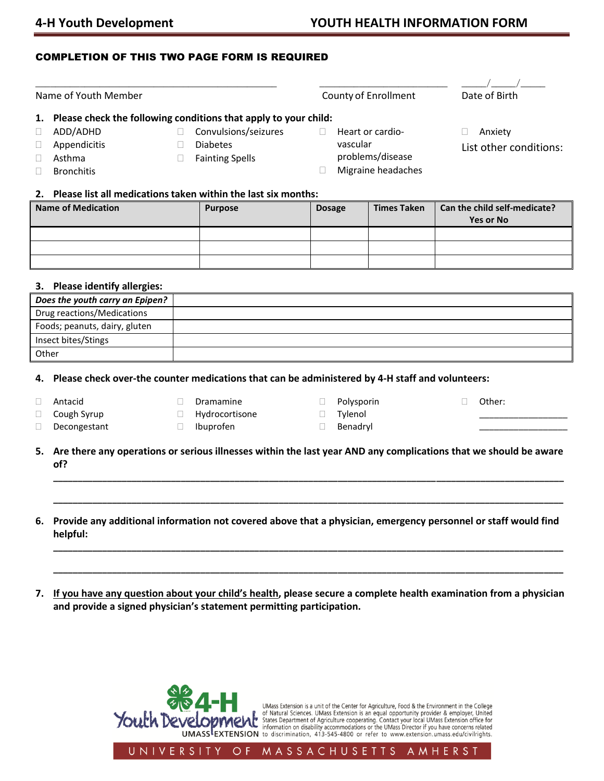# COMPLETION OF THIS TWO PAGE FORM IS REQUIRED

| Name of Youth Member |                                                                                                                                                                                                |  |                                                                   |  | <b>County of Enrollment</b> |                                                            | Date of Birth                                    |
|----------------------|------------------------------------------------------------------------------------------------------------------------------------------------------------------------------------------------|--|-------------------------------------------------------------------|--|-----------------------------|------------------------------------------------------------|--------------------------------------------------|
|                      | Please check the following conditions that apply to your child:<br>ADD/ADHD<br>Appendicitis<br>Asthma<br><b>Bronchitis</b><br>2. Please list all medications taken within the last six months: |  | Convulsions/seizures<br><b>Diabetes</b><br><b>Fainting Spells</b> |  | vascular                    | Heart or cardio-<br>problems/disease<br>Migraine headaches | Anxiety<br>List other conditions:                |
|                      | <b>Name of Medication</b>                                                                                                                                                                      |  | <b>Purpose</b>                                                    |  | <b>Dosage</b>               | <b>Times Taken</b>                                         | Can the child self-medicate?<br><b>Yes or No</b> |

### **3. Please identify allergies:**

| Does the youth carry an Epipen? |  |
|---------------------------------|--|
| Drug reactions/Medications      |  |
| Foods; peanuts, dairy, gluten   |  |
| Insect bites/Stings             |  |
| Other                           |  |

## **4. Please check over-the counter medications that can be administered by 4-H staff and volunteers:**

Antacid

Dramamine

Ibuprofen

D Polysporin

Other:

\_\_\_\_\_\_\_\_\_\_\_\_\_\_\_\_\_\_ \_\_\_\_\_\_\_\_\_\_\_\_\_\_\_\_\_\_

- □ Cough Syrup Decongestant
- Hydrocortisone
- **Tylenol** Benadryl
- **5. Are there any operations or serious illnesses within the last year AND any complications that we should be aware of?**

**\_\_\_\_\_\_\_\_\_\_\_\_\_\_\_\_\_\_\_\_\_\_\_\_\_\_\_\_\_\_\_\_\_\_\_\_\_\_\_\_\_\_\_\_\_\_\_\_\_\_\_\_\_\_\_\_\_\_\_\_\_\_\_\_\_\_\_\_\_\_\_\_\_\_\_\_\_\_\_\_\_\_\_\_\_\_\_\_\_\_\_\_\_\_\_\_\_\_\_\_\_\_\_\_**

**\_\_\_\_\_\_\_\_\_\_\_\_\_\_\_\_\_\_\_\_\_\_\_\_\_\_\_\_\_\_\_\_\_\_\_\_\_\_\_\_\_\_\_\_\_\_\_\_\_\_\_\_\_\_\_\_\_\_\_\_\_\_\_\_\_\_\_\_\_\_\_\_\_\_\_\_\_\_\_\_\_\_\_\_\_\_\_\_\_\_\_\_\_\_\_\_\_\_\_\_\_\_\_\_**

**\_\_\_\_\_\_\_\_\_\_\_\_\_\_\_\_\_\_\_\_\_\_\_\_\_\_\_\_\_\_\_\_\_\_\_\_\_\_\_\_\_\_\_\_\_\_\_\_\_\_\_\_\_\_\_\_\_\_\_\_\_\_\_\_\_\_\_\_\_\_\_\_\_\_\_\_\_\_\_\_\_\_\_\_\_\_\_\_\_\_\_\_\_\_\_\_\_\_\_\_\_\_\_\_**

**\_\_\_\_\_\_\_\_\_\_\_\_\_\_\_\_\_\_\_\_\_\_\_\_\_\_\_\_\_\_\_\_\_\_\_\_\_\_\_\_\_\_\_\_\_\_\_\_\_\_\_\_\_\_\_\_\_\_\_\_\_\_\_\_\_\_\_\_\_\_\_\_\_\_\_\_\_\_\_\_\_\_\_\_\_\_\_\_\_\_\_\_\_\_\_\_\_\_\_\_\_\_\_\_**

- **6. Provide any additional information not covered above that a physician, emergency personnel or staff would find helpful:**
- **7. If you have any question about your child's health, please secure a complete health examination from a physician and provide a signed physician's statement permitting participation.**





UNIVERSITY  $O F$ MASSACHUSETTS AMHERST